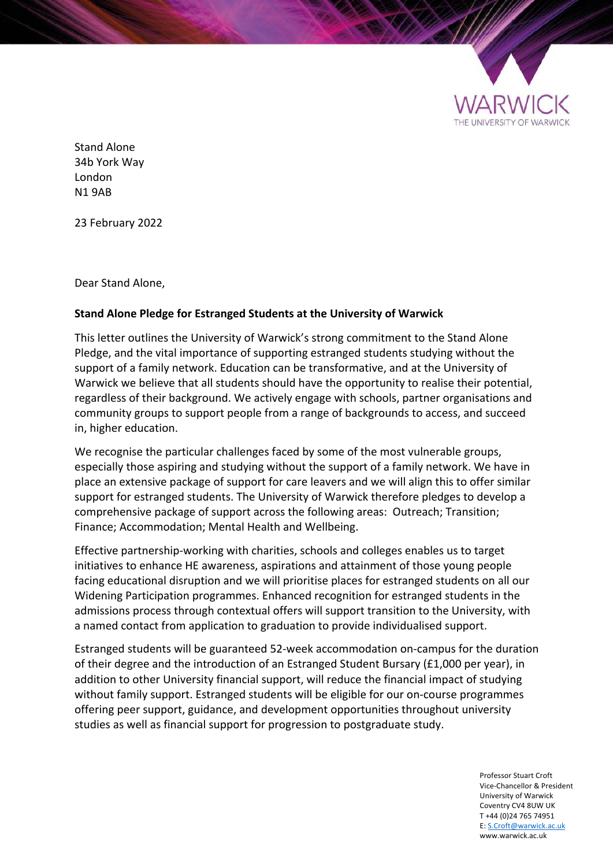

Stand Alone 34b York Way London N1 9AB

23 February 2022

Dear Stand Alone,

## **Stand Alone Pledge for Estranged Students at the University of Warwick**

This letter outlines the University of Warwick's strong commitment to the Stand Alone Pledge, and the vital importance of supporting estranged students studying without the support of a family network. Education can be transformative, and at the University of Warwick we believe that all students should have the opportunity to realise their potential, regardless of their background. We actively engage with schools, partner organisations and community groups to support people from a range of backgrounds to access, and succeed in, higher education.

We recognise the particular challenges faced by some of the most vulnerable groups, especially those aspiring and studying without the support of a family network. We have in place an extensive package of support for care leavers and we will align this to offer similar support for estranged students. The University of Warwick therefore pledges to develop a comprehensive package of support across the following areas: Outreach; Transition; Finance; Accommodation; Mental Health and Wellbeing.

Effective partnership-working with charities, schools and colleges enables us to target initiatives to enhance HE awareness, aspirations and attainment of those young people facing educational disruption and we will prioritise places for estranged students on all our Widening Participation programmes. Enhanced recognition for estranged students in the admissions process through contextual offers will support transition to the University, with a named contact from application to graduation to provide individualised support.

Estranged students will be guaranteed 52-week accommodation on-campus for the duration of their degree and the introduction of an Estranged Student Bursary (£1,000 per year), in addition to other University financial support, will reduce the financial impact of studying without family support. Estranged students will be eligible for our on-course programmes offering peer support, guidance, and development opportunities throughout university studies as well as financial support for progression to postgraduate study.

> Professor Stuart Croft Vice-Chancellor & President University of Warwick Coventry CV4 8UW UK T +44 (0)24 765 74951 E: S.Croft@warwick.ac.uk www.warwick.ac.uk